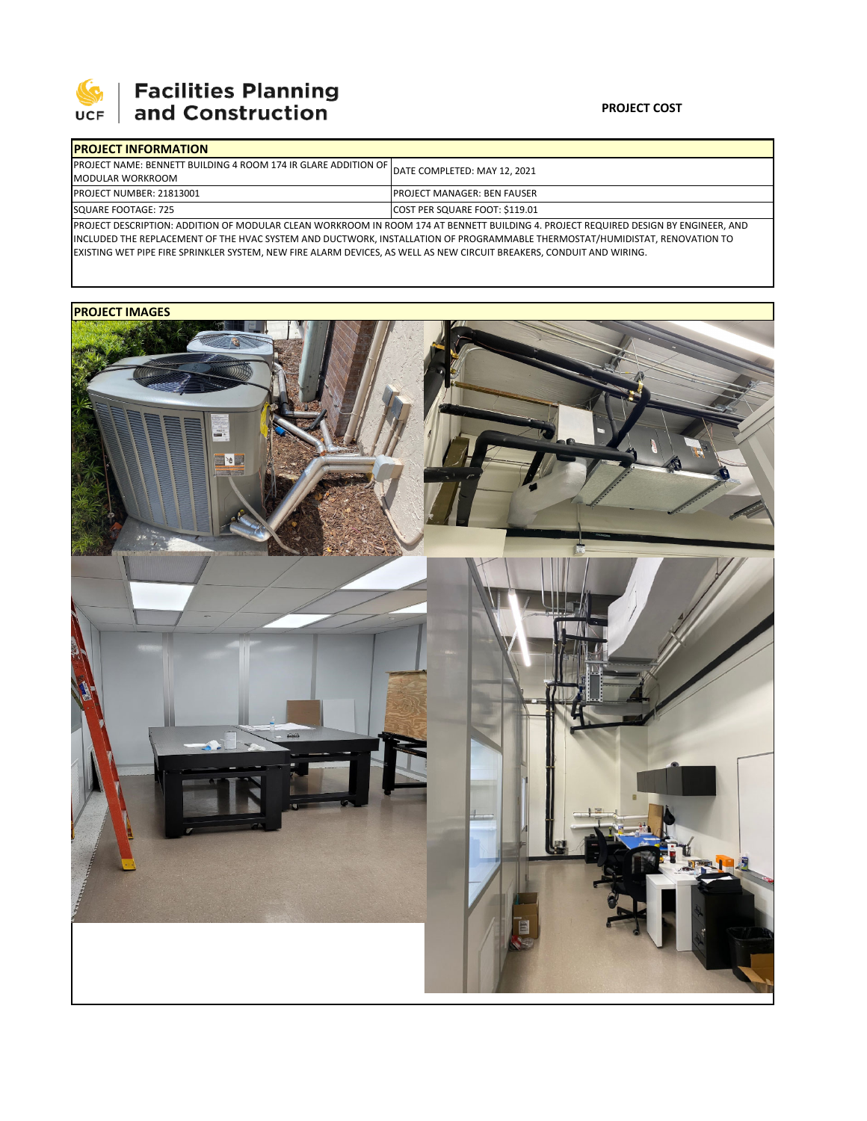

# **Facilities Planning**<br>and Construction

### **PROJECT COST**

| <b>IPROJECT INFORMATION</b>                                              |                                                                                                                                    |  |  |  |  |
|--------------------------------------------------------------------------|------------------------------------------------------------------------------------------------------------------------------------|--|--|--|--|
| <b>IPROJECT NAME: BENNETT BUILDING 4 ROOM 174 IR GLARE ADDITION OF I</b> | DATE COMPLETED: MAY 12, 2021                                                                                                       |  |  |  |  |
| <b>MODULAR WORKROOM</b>                                                  |                                                                                                                                    |  |  |  |  |
| <b>PROJECT NUMBER: 21813001</b>                                          | <b>IPROJECT MANAGER: BEN FAUSER</b>                                                                                                |  |  |  |  |
| SQUARE FOOTAGE: 725                                                      | COST PER SQUARE FOOT: \$119.01                                                                                                     |  |  |  |  |
|                                                                          | IDROIECT DECCRIPTION: ADDITION OF MODULAR CLEAN WORKROOM IN ROOM 174 AT RENNETT RUILDING A DROIECT REQUIRED DECIGN BY ENGINEER AND |  |  |  |  |

PROJECT DESCRIPTION: ADDITION OF MODULAR CLEAN WORKROOM IN ROOM 174 AT BENNETT BUILDING 4. PROJECT REQUIRED DESIGN BY ENGINEER, AND INCLUDED THE REPLACEMENT OF THE HVAC SYSTEM AND DUCTWORK, INSTALLATION OF PROGRAMMABLE THERMOSTAT/HUMIDISTAT, RENOVATION TO EXISTING WET PIPE FIRE SPRINKLER SYSTEM, NEW FIRE ALARM DEVICES, AS WELL AS NEW CIRCUIT BREAKERS, CONDUIT AND WIRING.

## **PROJECT IMAGES**